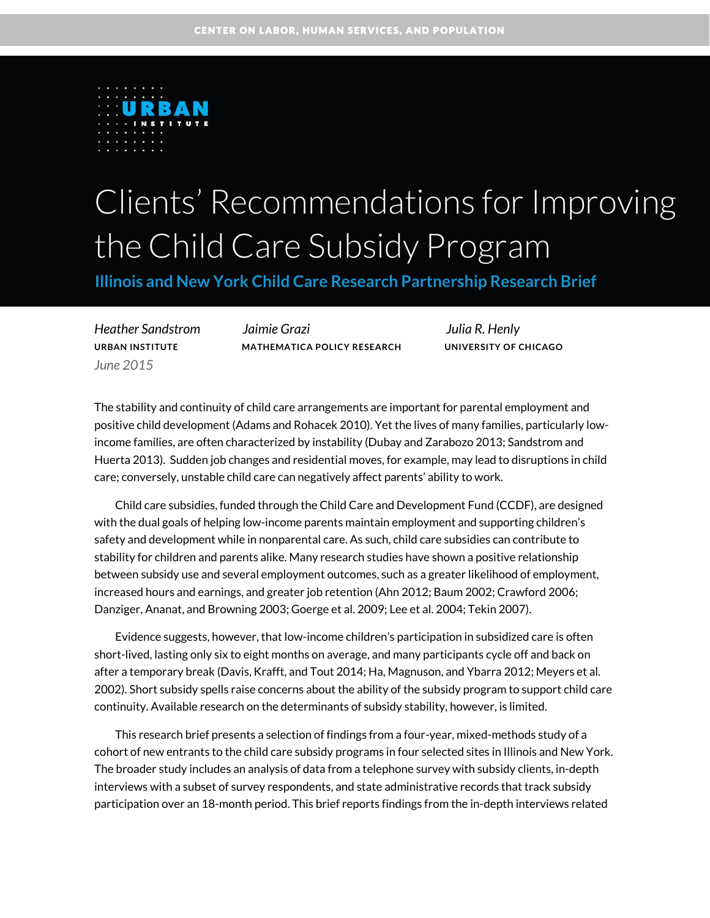

# Clients' Recommendations for Improving the Child Care Subsidy Program

**Illinois and New York Child Care Research Partnership Research Brief** 

*June 2015*

*Heather Sandstrom Jaimie Grazi Julia R. Henly* **URBAN INSTITUTE MATHEMATICA POLICY RESEARCH UNIVERSITY OF CHICAGO**

The stability and continuity of child care arrangements are important for parental employment and positive child development (Adams and Rohacek 2010). Yet the lives of many families, particularly lowincome families, are often characterized by instability (Dubay and Zarabozo 2013; Sandstrom and Huerta 2013). Sudden job changes and residential moves, for example, may lead to disruptions in child care; conversely, unstable child care can negatively affect parents' ability to work.

Child care subsidies, funded through the Child Care and Development Fund (CCDF), are designed with the dual goals of helping low-income parents maintain employment and supporting children's safety and development while in nonparental care. As such, child care subsidies can contribute to stability for children and parents alike. Many research studies have shown a positive relationship between subsidy use and several employment outcomes, such as a greater likelihood of employment, increased hours and earnings, and greater job retention (Ahn 2012; Baum 2002; Crawford 2006; Danziger, Ananat, and Browning 2003; Goerge et al. 2009; Lee et al. 2004; Tekin 2007).

Evidence suggests, however, that low-income children's participation in subsidized care is often short-lived, lasting only six to eight months on average, and many participants cycle off and back on after a temporary break (Davis, Krafft, and Tout 2014; Ha, Magnuson, and Ybarra 2012; Meyers et al. 2002). Short subsidy spells raise concerns about the ability of the subsidy program to support child care continuity. Available research on the determinants of subsidy stability, however, is limited.

This research brief presents a selection of findings from a four-year, mixed-methods study of a cohort of new entrants to the child care subsidy programs in four selected sites in Illinois and New York. The broader study includes an analysis of data from a telephone survey with subsidy clients, in-depth interviews with a subset of survey respondents, and state administrative records that track subsidy participation over an 18-month period. This brief reports findings from the in-depth interviews related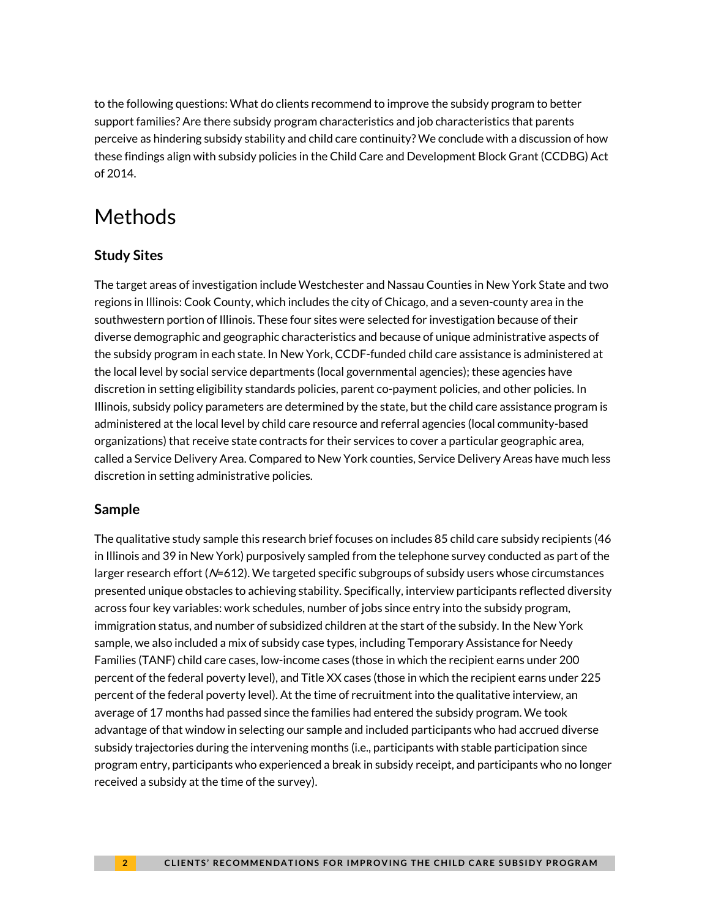to the following questions: What do clients recommend to improve the subsidy program to better support families? Are there subsidy program characteristics and job characteristics that parents perceive as hindering subsidy stability and child care continuity? We conclude with a discussion of how these findings align with subsidy policies in the Child Care and Development Block Grant (CCDBG) Act of 2014.

# Methods

### **Study Sites**

The target areas of investigation include Westchester and Nassau Counties in New York State and two regions in Illinois: Cook County, which includes the city of Chicago, and a seven-county area in the southwestern portion of Illinois. These four sites were selected for investigation because of their diverse demographic and geographic characteristics and because of unique administrative aspects of the subsidy program in each state. In New York, CCDF-funded child care assistance is administered at the local level by social service departments (local governmental agencies); these agencies have discretion in setting eligibility standards policies, parent co-payment policies, and other policies. In Illinois, subsidy policy parameters are determined by the state, but the child care assistance program is administered at the local level by child care resource and referral agencies (local community-based organizations) that receive state contracts for their services to cover a particular geographic area, called a Service Delivery Area. Compared to New York counties, Service Delivery Areas have much less discretion in setting administrative policies.

### **Sample**

The qualitative study sample this research brief focuses on includes 85 child care subsidy recipients (46 in Illinois and 39 in New York) purposively sampled from the telephone survey conducted as part of the larger research effort (N=612). We targeted specific subgroups of subsidy users whose circumstances presented unique obstacles to achieving stability. Specifically, interview participants reflected diversity across four key variables: work schedules, number of jobs since entry into the subsidy program, immigration status, and number of subsidized children at the start of the subsidy. In the New York sample, we also included a mix of subsidy case types, including Temporary Assistance for Needy Families (TANF) child care cases, low-income cases (those in which the recipient earns under 200 percent of the federal poverty level), and Title XX cases (those in which the recipient earns under 225 percent of the federal poverty level). At the time of recruitment into the qualitative interview, an average of 17 months had passed since the families had entered the subsidy program. We took advantage of that window in selecting our sample and included participants who had accrued diverse subsidy trajectories during the intervening months (i.e., participants with stable participation since program entry, participants who experienced a break in subsidy receipt, and participants who no longer received a subsidy at the time of the survey).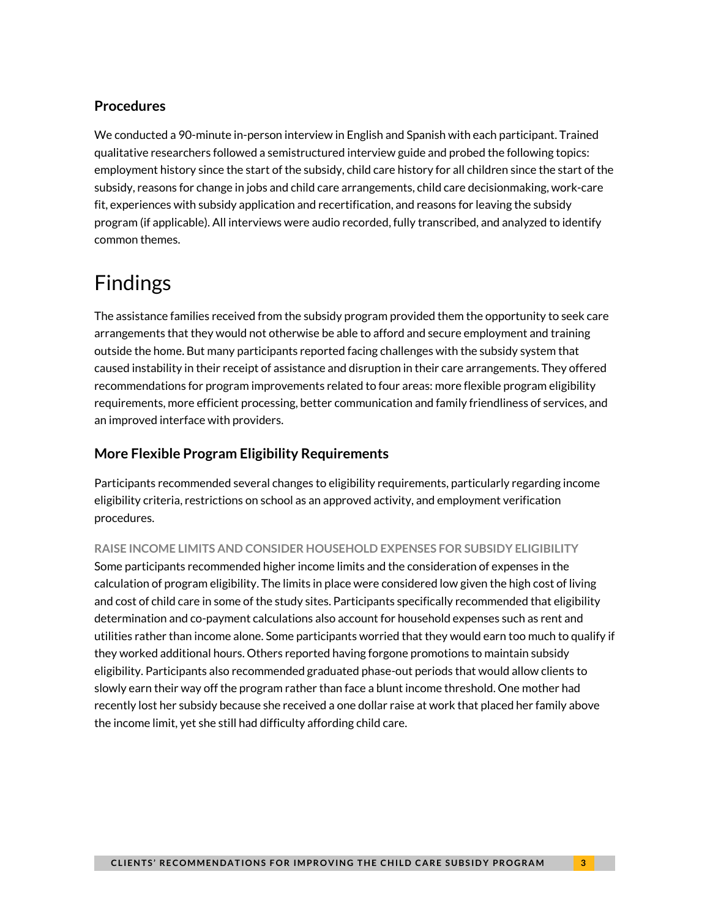### **Procedures**

We conducted a 90-minute in-person interview in English and Spanish with each participant. Trained qualitative researchers followed a semistructured interview guide and probed the following topics: employment history since the start of the subsidy, child care history for all children since the start of the subsidy, reasons for change in jobs and child care arrangements, child care decisionmaking, work-care fit, experiences with subsidy application and recertification, and reasons for leaving the subsidy program (if applicable). All interviews were audio recorded, fully transcribed, and analyzed to identify common themes.

# Findings

The assistance families received from the subsidy program provided them the opportunity to seek care arrangements that they would not otherwise be able to afford and secure employment and training outside the home. But many participants reported facing challenges with the subsidy system that caused instability in their receipt of assistance and disruption in their care arrangements. They offered recommendations for program improvements related to four areas: more flexible program eligibility requirements, more efficient processing, better communication and family friendliness of services, and an improved interface with providers.

### **More Flexible Program Eligibility Requirements**

Participants recommended several changes to eligibility requirements, particularly regarding income eligibility criteria, restrictions on school as an approved activity, and employment verification procedures.

#### **RAISE INCOME LIMITS AND CONSIDER HOUSEHOLD EXPENSES FOR SUBSIDY ELIGIBILITY**

Some participants recommended higher income limits and the consideration of expenses in the calculation of program eligibility. The limits in place were considered low given the high cost of living and cost of child care in some of the study sites. Participants specifically recommended that eligibility determination and co-payment calculations also account for household expenses such as rent and utilities rather than income alone. Some participants worried that they would earn too much to qualify if they worked additional hours. Others reported having forgone promotions to maintain subsidy eligibility. Participants also recommended graduated phase-out periods that would allow clients to slowly earn their way off the program rather than face a blunt income threshold. One mother had recently lost her subsidy because she received a one dollar raise at work that placed her family above the income limit, yet she still had difficulty affording child care.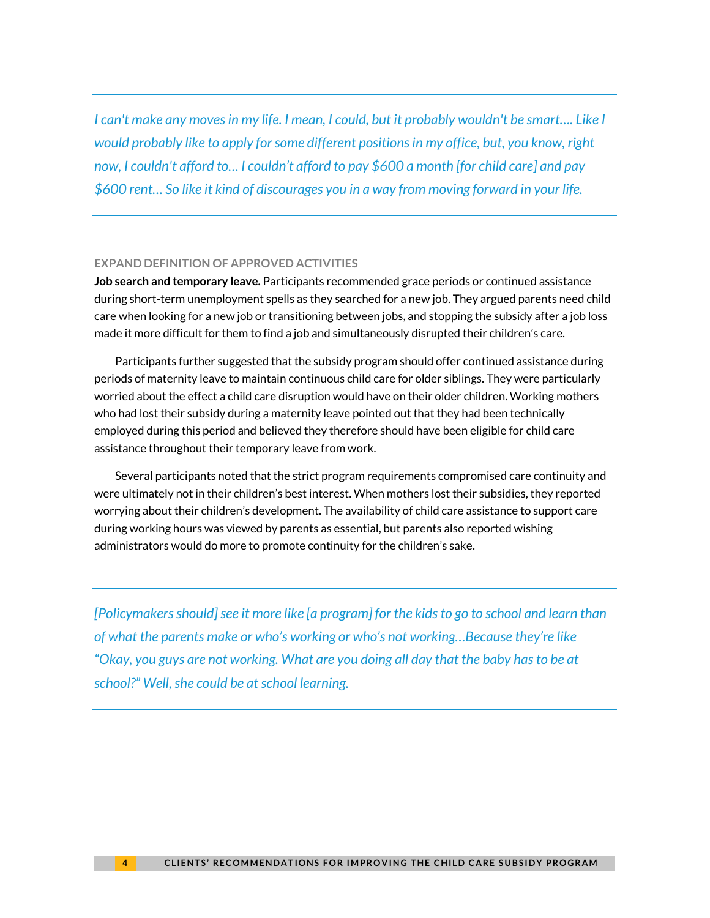*I can't make any moves in my life. I mean, I could, but it probably wouldn't be smart…. Like I would probably like to apply for some different positions in my office, but, you know, right now, I couldn't afford to… I couldn't afford to pay \$600 a month [for child care] and pay \$600 rent… So like it kind of discourages you in a way from moving forward in your life.* 

#### **EXPAND DEFINITION OF APPROVED ACTIVITIES**

**Job search and temporary leave.** Participants recommended grace periods or continued assistance during short-term unemployment spells as they searched for a new job. They argued parents need child care when looking for a new job or transitioning between jobs, and stopping the subsidy after a job loss made it more difficult for them to find a job and simultaneously disrupted their children's care.

Participants further suggested that the subsidy program should offer continued assistance during periods of maternity leave to maintain continuous child care for older siblings. They were particularly worried about the effect a child care disruption would have on their older children. Working mothers who had lost their subsidy during a maternity leave pointed out that they had been technically employed during this period and believed they therefore should have been eligible for child care assistance throughout their temporary leave from work.

Several participants noted that the strict program requirements compromised care continuity and were ultimately not in their children's best interest. When mothers lost their subsidies, they reported worrying about their children's development. The availability of child care assistance to support care during working hours was viewed by parents as essential, but parents also reported wishing administrators would do more to promote continuity for the children's sake.

*[Policymakers should] see it more like [a program] for the kids to go to school and learn than of what the parents make or who's working or who's not working…Because they're like "Okay, you guys are not working. What are you doing all day that the baby has to be at school?" Well, she could be at school learning.*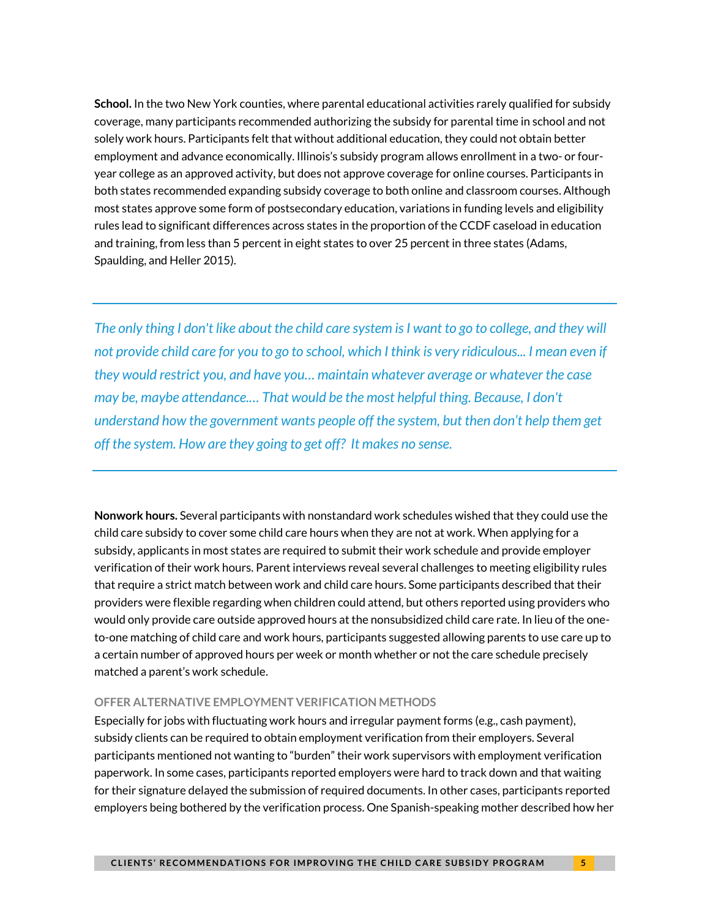**School.** In the two New York counties, where parental educational activities rarely qualified for subsidy coverage, many participants recommended authorizing the subsidy for parental time in school and not solely work hours. Participants felt that without additional education, they could not obtain better employment and advance economically. Illinois's subsidy program allows enrollment in a two- or fouryear college as an approved activity, but does not approve coverage for online courses. Participants in both states recommended expanding subsidy coverage to both online and classroom courses. Although most states approve some form of postsecondary education, variations in funding levels and eligibility rules lead to significant differences across states in the proportion of the CCDF caseload in education and training, from less than 5 percent in eight states to over 25 percent in three states (Adams, Spaulding, and Heller 2015).

*The only thing I don't like about the child care system is I want to go to college, and they will not provide child care for you to go to school, which I think is very ridiculous... I mean even if they would restrict you, and have you… maintain whatever average or whatever the case may be, maybe attendance.… That would be the most helpful thing. Because, I don't understand how the government wants people off the system, but then don't help them get off the system. How are they going to get off? It makes no sense.* 

**Nonwork hours.** Several participants with nonstandard work schedules wished that they could use the child care subsidy to cover some child care hours when they are not at work. When applying for a subsidy, applicants in most states are required to submit their work schedule and provide employer verification of their work hours. Parent interviews reveal several challenges to meeting eligibility rules that require a strict match between work and child care hours. Some participants described that their providers were flexible regarding when children could attend, but others reported using providers who would only provide care outside approved hours at the nonsubsidized child care rate. In lieu of the oneto-one matching of child care and work hours, participants suggested allowing parents to use care up to a certain number of approved hours per week or month whether or not the care schedule precisely matched a parent's work schedule.

#### **OFFER ALTERNATIVE EMPLOYMENT VERIFICATION METHODS**

Especially for jobs with fluctuating work hours and irregular payment forms (e.g., cash payment), subsidy clients can be required to obtain employment verification from their employers. Several participants mentioned not wanting to "burden" their work supervisors with employment verification paperwork. In some cases, participants reported employers were hard to track down and that waiting for their signature delayed the submission of required documents. In other cases, participants reported employers being bothered by the verification process. One Spanish-speaking mother described how her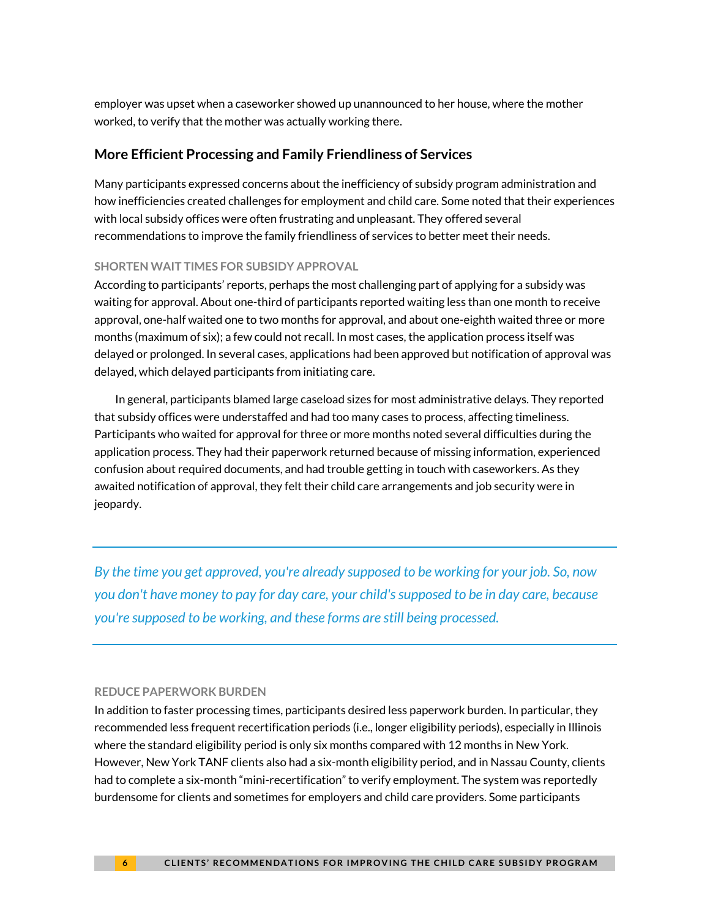employer was upset when a caseworker showed up unannounced to her house, where the mother worked, to verify that the mother was actually working there.

#### **More Efficient Processing and Family Friendliness of Services**

Many participants expressed concerns about the inefficiency of subsidy program administration and how inefficiencies created challenges for employment and child care. Some noted that their experiences with local subsidy offices were often frustrating and unpleasant. They offered several recommendations to improve the family friendliness of services to better meet their needs.

#### **SHORTEN WAIT TIMES FOR SUBSIDY APPROVAL**

According to participants' reports, perhaps the most challenging part of applying for a subsidy was waiting for approval. About one-third of participants reported waiting less than one month to receive approval, one-half waited one to two months for approval, and about one-eighth waited three or more months (maximum of six); a few could not recall. In most cases, the application process itself was delayed or prolonged. In several cases, applications had been approved but notification of approval was delayed, which delayed participants from initiating care.

In general, participants blamed large caseload sizes for most administrative delays. They reported that subsidy offices were understaffed and had too many cases to process, affecting timeliness. Participants who waited for approval for three or more months noted several difficulties during the application process. They had their paperwork returned because of missing information, experienced confusion about required documents, and had trouble getting in touch with caseworkers. As they awaited notification of approval, they felt their child care arrangements and job security were in jeopardy.

*By the time you get approved, you're already supposed to be working for your job. So, now you don't have money to pay for day care, your child's supposed to be in day care, because you're supposed to be working, and these forms are still being processed.* 

#### **REDUCE PAPERWORK BURDEN**

In addition to faster processing times, participants desired less paperwork burden. In particular, they recommended less frequent recertification periods (i.e., longer eligibility periods), especially in Illinois where the standard eligibility period is only six months compared with 12 months in New York. However, New York TANF clients also had a six-month eligibility period, and in Nassau County, clients had to complete a six-month "mini-recertification" to verify employment. The system was reportedly burdensome for clients and sometimes for employers and child care providers. Some participants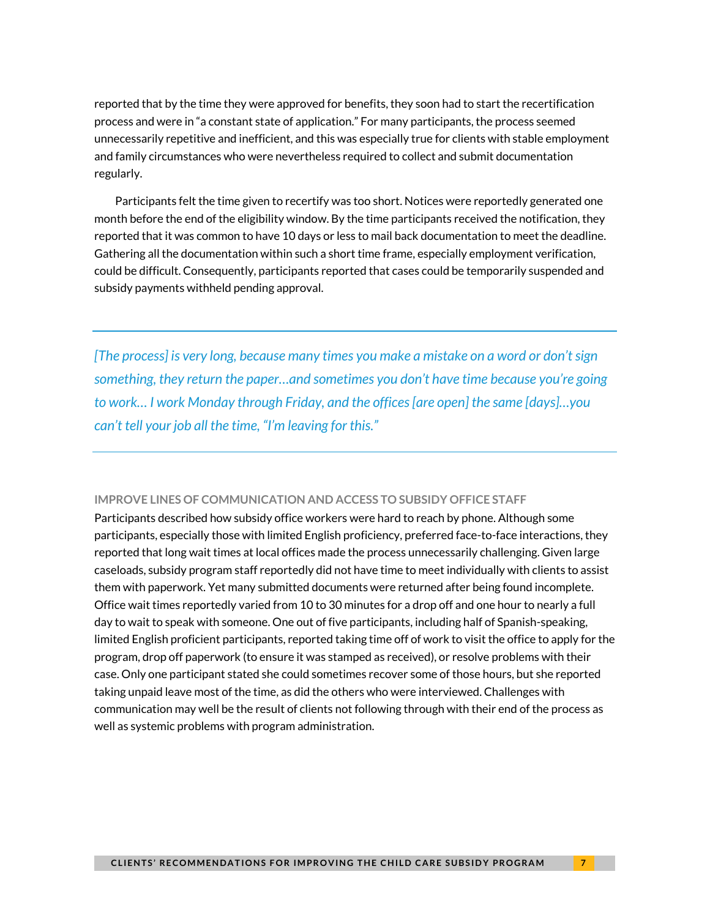reported that by the time they were approved for benefits, they soon had to start the recertification process and were in "a constant state of application." For many participants, the process seemed unnecessarily repetitive and inefficient, and this was especially true for clients with stable employment and family circumstances who were nevertheless required to collect and submit documentation regularly.

Participants felt the time given to recertify was too short. Notices were reportedly generated one month before the end of the eligibility window. By the time participants received the notification, they reported that it was common to have 10 days or less to mail back documentation to meet the deadline. Gathering all the documentation within such a short time frame, especially employment verification, could be difficult. Consequently, participants reported that cases could be temporarily suspended and subsidy payments withheld pending approval.

*[The process] is very long, because many times you make a mistake on a word or don't sign something, they return the paper…and sometimes you don't have time because you're going to work… I work Monday through Friday, and the offices [are open] the same [days]…you can't tell your job all the time, "I'm leaving for this."* 

#### **IMPROVE LINES OF COMMUNICATION AND ACCESS TO SUBSIDY OFFICE STAFF**

Participants described how subsidy office workers were hard to reach by phone. Although some participants, especially those with limited English proficiency, preferred face-to-face interactions, they reported that long wait times at local offices made the process unnecessarily challenging. Given large caseloads, subsidy program staff reportedly did not have time to meet individually with clients to assist them with paperwork. Yet many submitted documents were returned after being found incomplete. Office wait times reportedly varied from 10 to 30 minutes for a drop off and one hour to nearly a full day to wait to speak with someone. One out of five participants, including half of Spanish-speaking, limited English proficient participants, reported taking time off of work to visit the office to apply for the program, drop off paperwork (to ensure it was stamped as received), or resolve problems with their case. Only one participant stated she could sometimes recover some of those hours, but she reported taking unpaid leave most of the time, as did the others who were interviewed. Challenges with communication may well be the result of clients not following through with their end of the process as well as systemic problems with program administration.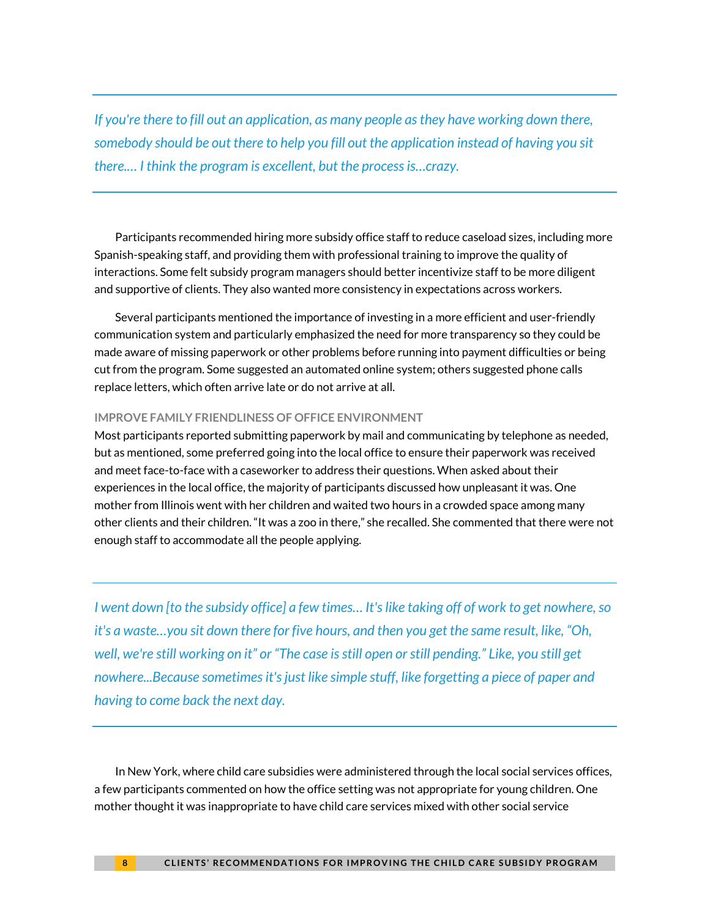*If you're there to fill out an application, as many people as they have working down there, somebody should be out there to help you fill out the application instead of having you sit there.… I think the program is excellent, but the process is…crazy.* 

Participants recommended hiring more subsidy office staff to reduce caseload sizes, including more Spanish-speaking staff, and providing them with professional training to improve the quality of interactions. Some felt subsidy program managers should better incentivize staff to be more diligent and supportive of clients. They also wanted more consistency in expectations across workers.

Several participants mentioned the importance of investing in a more efficient and user-friendly communication system and particularly emphasized the need for more transparency so they could be made aware of missing paperwork or other problems before running into payment difficulties or being cut from the program. Some suggested an automated online system; others suggested phone calls replace letters, which often arrive late or do not arrive at all.

#### **IMPROVE FAMILY FRIENDLINESS OF OFFICE ENVIRONMENT**

Most participants reported submitting paperwork by mail and communicating by telephone as needed, but as mentioned, some preferred going into the local office to ensure their paperwork was received and meet face-to-face with a caseworker to address their questions. When asked about their experiences in the local office, the majority of participants discussed how unpleasant it was. One mother from Illinois went with her children and waited two hours in a crowded space among many other clients and their children. "It was a zoo in there," she recalled. She commented that there were not enough staff to accommodate all the people applying.

*I went down [to the subsidy office] a few times… It's like taking off of work to get nowhere, so it's a waste…you sit down there for five hours, and then you get the same result, like, "Oh, well, we're still working on it" or "The case is still open or still pending." Like, you still get nowhere...Because sometimes it's just like simple stuff, like forgetting a piece of paper and having to come back the next day.*

In New York, where child care subsidies were administered through the local social services offices, a few participants commented on how the office setting was not appropriate for young children. One mother thought it was inappropriate to have child care services mixed with other social service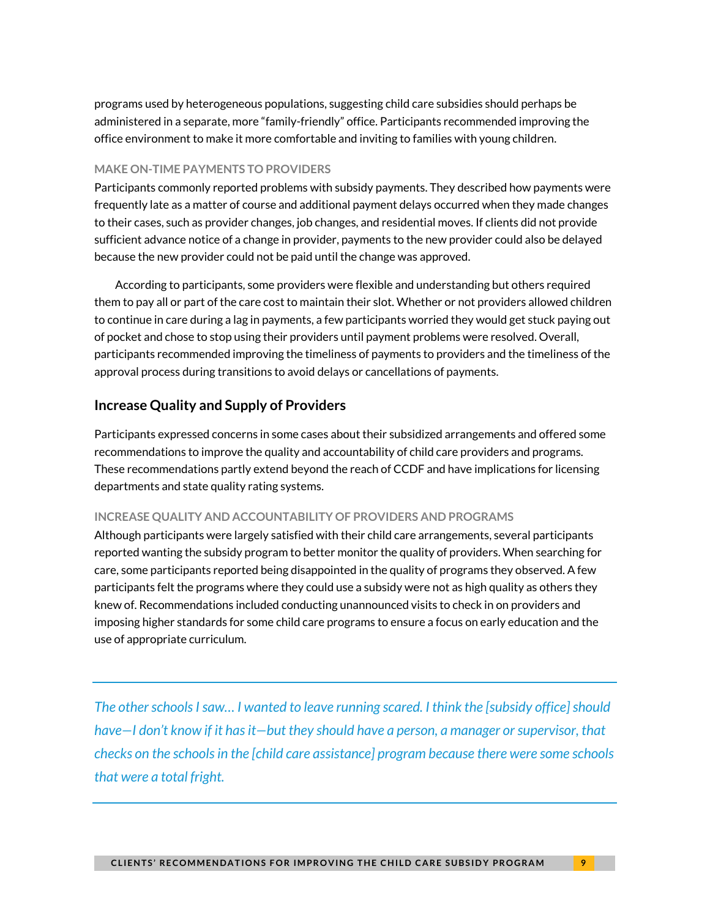programs used by heterogeneous populations, suggesting child care subsidies should perhaps be administered in a separate, more "family-friendly" office. Participants recommended improving the office environment to make it more comfortable and inviting to families with young children.

#### **MAKE ON-TIME PAYMENTS TO PROVIDERS**

Participants commonly reported problems with subsidy payments. They described how payments were frequently late as a matter of course and additional payment delays occurred when they made changes to their cases, such as provider changes, job changes, and residential moves. If clients did not provide sufficient advance notice of a change in provider, payments to the new provider could also be delayed because the new provider could not be paid until the change was approved.

According to participants, some providers were flexible and understanding but others required them to pay all or part of the care cost to maintain their slot. Whether or not providers allowed children to continue in care during a lag in payments, a few participants worried they would get stuck paying out of pocket and chose to stop using their providers until payment problems were resolved. Overall, participants recommended improving the timeliness of payments to providers and the timeliness of the approval process during transitions to avoid delays or cancellations of payments.

#### **Increase Quality and Supply of Providers**

Participants expressed concerns in some cases about their subsidized arrangements and offered some recommendations to improve the quality and accountability of child care providers and programs. These recommendations partly extend beyond the reach of CCDF and have implications for licensing departments and state quality rating systems.

#### **INCREASE QUALITY AND ACCOUNTABILITY OF PROVIDERS AND PROGRAMS**

Although participants were largely satisfied with their child care arrangements, several participants reported wanting the subsidy program to better monitor the quality of providers. When searching for care, some participants reported being disappointed in the quality of programs they observed. A few participants felt the programs where they could use a subsidy were not as high quality as others they knew of. Recommendations included conducting unannounced visits to check in on providers and imposing higher standards for some child care programs to ensure a focus on early education and the use of appropriate curriculum.

The other schools I saw... I wanted to leave running scared. I think the [subsidy office] should *have—I don't know if it has it—but they should have a person, a manager or supervisor, that checks on the schools in the [child care assistance] program because there were some schools that were a total fright.*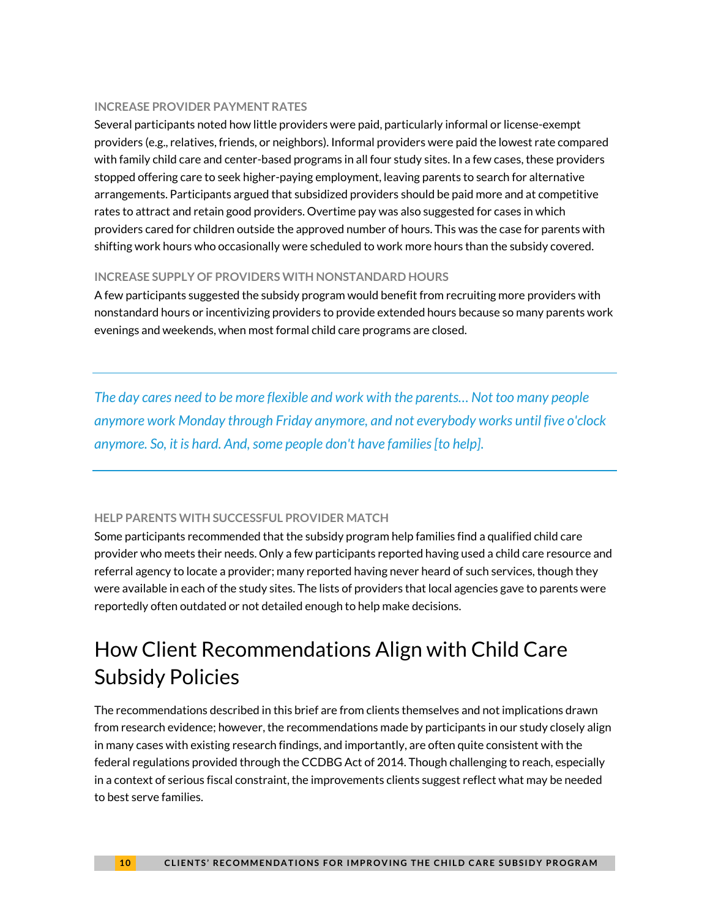#### **INCREASE PROVIDER PAYMENT RATES**

Several participants noted how little providers were paid, particularly informal or license-exempt providers (e.g., relatives, friends, or neighbors). Informal providers were paid the lowest rate compared with family child care and center-based programs in all four study sites. In a few cases, these providers stopped offering care to seek higher-paying employment, leaving parents to search for alternative arrangements. Participants argued that subsidized providers should be paid more and at competitive rates to attract and retain good providers. Overtime pay was also suggested for cases in which providers cared for children outside the approved number of hours. This was the case for parents with shifting work hours who occasionally were scheduled to work more hours than the subsidy covered.

#### **INCREASE SUPPLY OF PROVIDERS WITH NONSTANDARD HOURS**

A few participants suggested the subsidy program would benefit from recruiting more providers with nonstandard hours or incentivizing providers to provide extended hours because so many parents work evenings and weekends, when most formal child care programs are closed.

*The day cares need to be more flexible and work with the parents… Not too many people anymore work Monday through Friday anymore, and not everybody works until five o'clock anymore. So, it is hard. And, some people don't have families [to help].*

#### **HELP PARENTS WITH SUCCESSFUL PROVIDER MATCH**

Some participants recommended that the subsidy program help families find a qualified child care provider who meets their needs. Only a few participants reported having used a child care resource and referral agency to locate a provider; many reported having never heard of such services, though they were available in each of the study sites. The lists of providers that local agencies gave to parents were reportedly often outdated or not detailed enough to help make decisions.

# How Client Recommendations Align with Child Care Subsidy Policies

The recommendations described in this brief are from clients themselves and not implications drawn from research evidence; however, the recommendations made by participants in our study closely align in many cases with existing research findings, and importantly, are often quite consistent with the federal regulations provided through the CCDBG Act of 2014. Though challenging to reach, especially in a context of serious fiscal constraint, the improvements clients suggest reflect what may be needed to best serve families.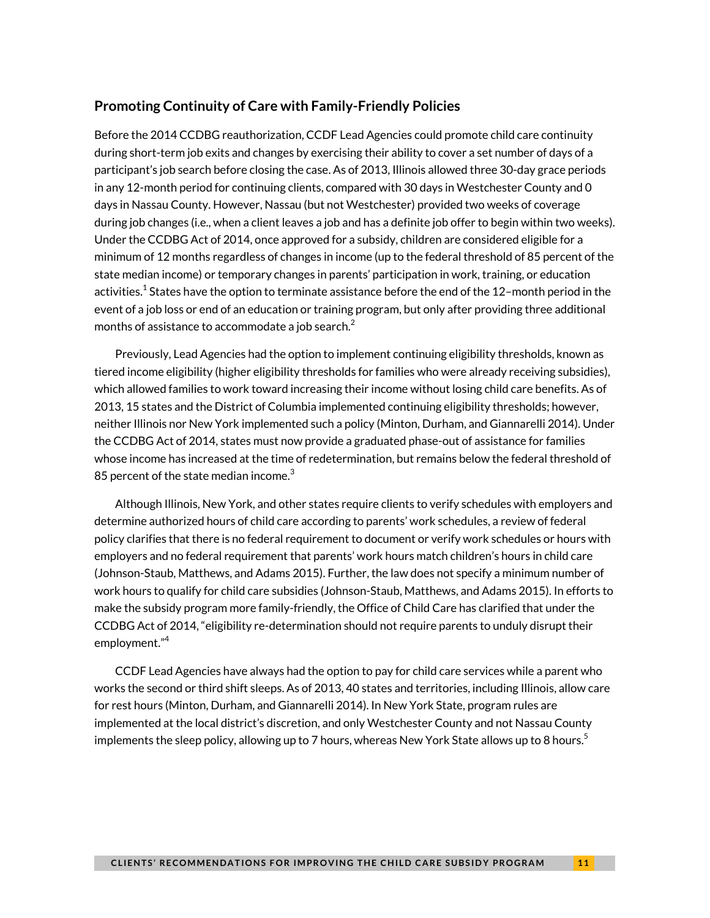#### **Promoting Continuity of Care with Family-Friendly Policies**

Before the 2014 CCDBG reauthorization, CCDF Lead Agencies could promote child care continuity during short-term job exits and changes by exercising their ability to cover a set number of days of a participant's job search before closing the case. As of 2013, Illinois allowed three 30-day grace periods in any 12-month period for continuing clients, compared with 30 days in Westchester County and 0 days in Nassau County. However, Nassau (but not Westchester) provided two weeks of coverage during job changes (i.e., when a client leaves a job and has a definite job offer to begin within two weeks). Under the CCDBG Act of 2014, once approved for a subsidy, children are considered eligible for a minimum of 12 months regardless of changes in income (up to the federal threshold of 85 percent of the state median income) or temporary changes in parents' participation in work, training, or education activities. $^{\rm 1}$  States have the option to terminate assistance before the end of the 12–month period in the event of a job loss or end of an education or training program, but only after providing three additional months of assistance to accommodate a job search. $^{\mathsf{2}}$ 

Previously, Lead Agencies had the option to implement continuing eligibility thresholds, known as tiered income eligibility (higher eligibility thresholds for families who were already receiving subsidies), which allowed families to work toward increasing their income without losing child care benefits. As of 2013, 15 states and the District of Columbia implemented continuing eligibility thresholds; however, neither Illinois nor New York implemented such a policy (Minton, Durham, and Giannarelli 2014). Under the CCDBG Act of 2014, states must now provide a graduated phase-out of assistance for families whose income has increased at the time of redetermination, but remains below the federal threshold of 85 percent of the state median income. $^3$ 

Although Illinois, New York, and other states require clients to verify schedules with employers and determine authorized hours of child care according to parents' work schedules, a review of federal policy clarifies that there is no federal requirement to document or verify work schedules or hours with employers and no federal requirement that parents' work hours match children's hours in child care (Johnson-Staub, Matthews, and Adams 2015). Further, the law does not specify a minimum number of work hours to qualify for child care subsidies (Johnson-Staub, Matthews, and Adams 2015). In efforts to make the subsidy program more family-friendly, the Office of Child Care has clarified that under the CCDBG Act of 2014, "eligibility re-determination should not require parents to unduly disrupt their employment." 4

CCDF Lead Agencies have always had the option to pay for child care services while a parent who works the second or third shift sleeps. As of 2013, 40 states and territories, including Illinois, allow care for rest hours (Minton, Durham, and Giannarelli 2014). In New York State, program rules are implemented at the local district's discretion, and only Westchester County and not Nassau County implements the sleep policy, allowing up to 7 hours, whereas New York State allows up to 8 hours.<sup>5</sup>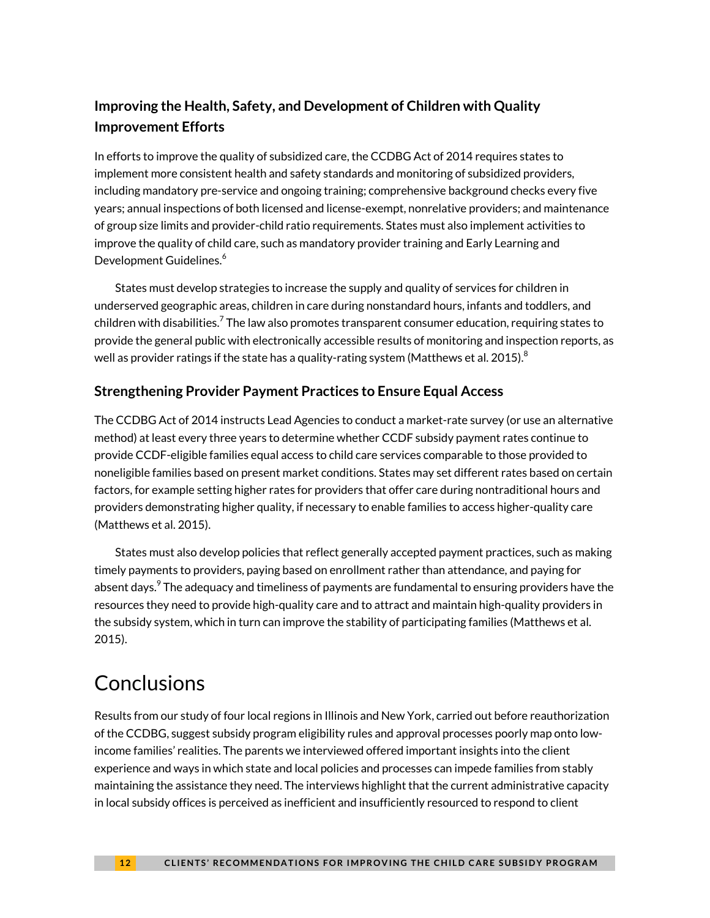### **Improving the Health, Safety, and Development of Children with Quality Improvement Efforts**

In efforts to improve the quality of subsidized care, the CCDBG Act of 2014 requires states to implement more consistent health and safety standards and monitoring of subsidized providers, including mandatory pre-service and ongoing training; comprehensive background checks every five years; annual inspections of both licensed and license-exempt, nonrelative providers; and maintenance of group size limits and provider-child ratio requirements. States must also implement activities to improve the quality of child care, such as mandatory provider training and Early Learning and Development Guidelines.<sup>6</sup>

States must develop strategies to increase the supply and quality of services for children in underserved geographic areas, children in care during nonstandard hours, infants and toddlers, and children with disabilities. $^7$  The law also promotes transparent consumer education, requiring states to provide the general public with electronically accessible results of monitoring and inspection reports, as well as provider ratings if the state has a quality-rating system (Matthews et al. 2015). $^{\rm 8}$ 

### **Strengthening Provider Payment Practices to Ensure Equal Access**

The CCDBG Act of 2014 instructs Lead Agencies to conduct a market-rate survey (or use an alternative method) at least every three years to determine whether CCDF subsidy payment rates continue to provide CCDF-eligible families equal access to child care services comparable to those provided to noneligible families based on present market conditions. States may set different rates based on certain factors, for example setting higher rates for providers that offer care during nontraditional hours and providers demonstrating higher quality, if necessary to enable families to access higher-quality care (Matthews et al. 2015).

States must also develop policies that reflect generally accepted payment practices, such as making timely payments to providers, paying based on enrollment rather than attendance, and paying for absent days. $^{\mathrm{9}}$  The adequacy and timeliness of payments are fundamental to ensuring providers have the resources they need to provide high-quality care and to attract and maintain high-quality providers in the subsidy system, which in turn can improve the stability of participating families (Matthews et al. 2015).

# **Conclusions**

Results from our study of four local regions in Illinois and New York, carried out before reauthorization of the CCDBG, suggest subsidy program eligibility rules and approval processes poorly map onto lowincome families' realities. The parents we interviewed offered important insights into the client experience and ways in which state and local policies and processes can impede families from stably maintaining the assistance they need. The interviews highlight that the current administrative capacity in local subsidy offices is perceived as inefficient and insufficiently resourced to respond to client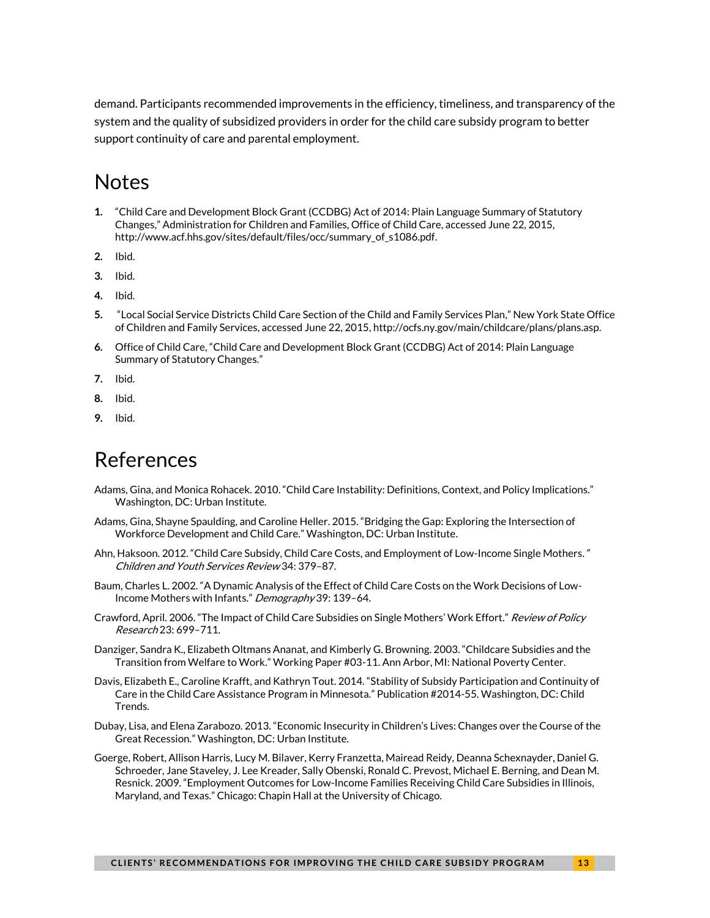demand. Participants recommended improvements in the efficiency, timeliness, and transparency of the system and the quality of subsidized providers in order for the child care subsidy program to better support continuity of care and parental employment.

### **Notes**

- **1.** "Child Care and Development Block Grant (CCDBG) Act of 2014: Plain Language Summary of Statutory Changes," Administration for Children and Families, Office of Child Care, accessed June 22, 2015, http://www.acf.hhs.gov/sites/default/files/occ/summary\_of\_s1086.pdf.
- **2.** Ibid.
- **3.** Ibid.
- **4.** Ibid.
- **5.** "Local Social Service Districts Child Care Section of the Child and Family Services Plan," New York State Office of Children and Family Services, accessed June 22, 2015, [http://ocfs.ny.gov/main/childcare/plans/plans.asp.](http://ocfs.ny.gov/main/childcare/plans/plans.asp)
- **6.** Office of Child Care, "Child Care and Development Block Grant (CCDBG) Act of 2014: Plain Language Summary of Statutory Changes."
- **7.** Ibid.
- **8.** Ibid.
- **9.** Ibid.

### References

- Adams, Gina, and Monica Rohacek. 2010. "Child Care Instability: Definitions, Context, and Policy Implications." Washington, DC: Urban Institute.
- Adams, Gina, Shayne Spaulding, and Caroline Heller. 2015. "Bridging the Gap: Exploring the Intersection of Workforce Development and Child Care." Washington, DC: Urban Institute.
- Ahn, Haksoon. 2012. "Child Care Subsidy, Child Care Costs, and Employment of Low-Income Single Mothers." Children and Youth Services Review 34: 379–87.
- Baum, Charles L. 2002. "A Dynamic Analysis of the Effect of Child Care Costs on the Work Decisions of Low-Income Mothers with Infants." Demography 39: 139-64.
- Crawford, April. 2006. "The Impact of Child Care Subsidies on Single Mothers' Work Effort." Review of Policy Research 23: 699–711.
- Danziger, Sandra K., Elizabeth Oltmans Ananat, and Kimberly G. Browning. 2003. "Childcare Subsidies and the Transition from Welfare to Work." Working Paper #03-11. Ann Arbor, MI: National Poverty Center.
- Davis, Elizabeth E., Caroline Krafft, and Kathryn Tout. 2014. "Stability of Subsidy Participation and Continuity of Care in the Child Care Assistance Program in Minnesota." Publication #2014-55. Washington, DC: Child Trends.
- Dubay, Lisa, and Elena Zarabozo. 2013. "Economic Insecurity in Children's Lives: Changes over the Course of the Great Recession." Washington, DC: Urban Institute.
- Goerge, Robert, Allison Harris, Lucy M. Bilaver, Kerry Franzetta, Mairead Reidy, Deanna Schexnayder, Daniel G. Schroeder, Jane Staveley, J. Lee Kreader, Sally Obenski, Ronald C. Prevost, Michael E. Berning, and Dean M. Resnick. 2009. "Employment Outcomes for Low-Income Families Receiving Child Care Subsidies in Illinois, Maryland, and Texas." Chicago: Chapin Hall at the University of Chicago.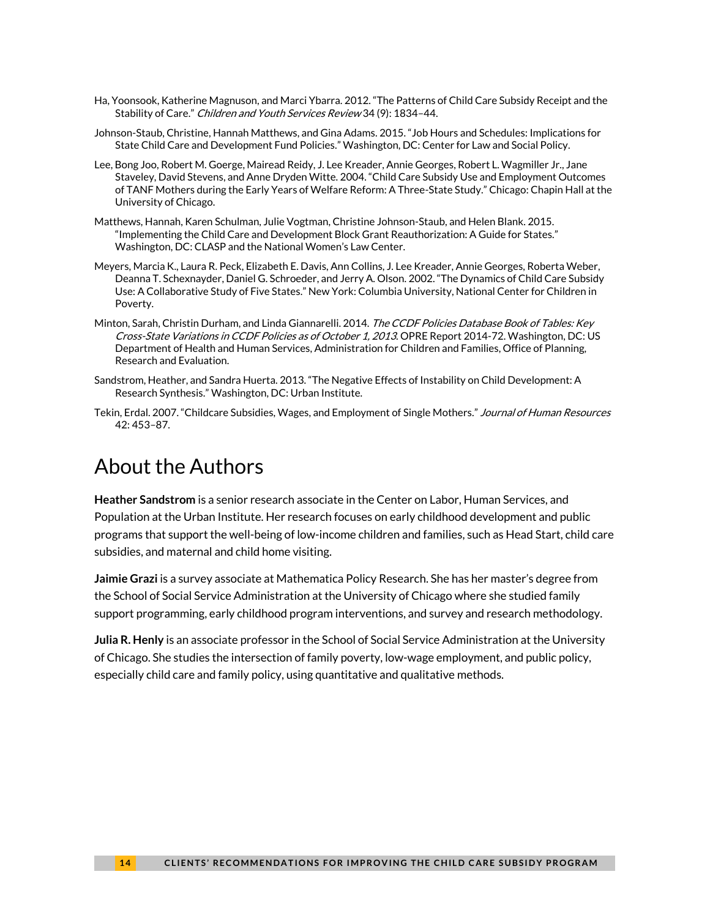- Ha, Yoonsook, Katherine Magnuson, and Marci Ybarra. 2012. "The Patterns of Child Care Subsidy Receipt and the Stability of Care." Children and Youth Services Review 34 (9): 1834–44.
- Johnson-Staub, Christine, Hannah Matthews, and Gina Adams. 2015. "Job Hours and Schedules: Implications for State Child Care and Development Fund Policies." Washington, DC: Center for Law and Social Policy.
- Lee, Bong Joo, Robert M. Goerge, Mairead Reidy, J. Lee Kreader, Annie Georges, Robert L. Wagmiller Jr., Jane Staveley, David Stevens, and Anne Dryden Witte. 2004. "Child Care Subsidy Use and Employment Outcomes of TANF Mothers during the Early Years of Welfare Reform: A Three-State Study." Chicago: Chapin Hall at the University of Chicago.
- Matthews, Hannah, Karen Schulman, Julie Vogtman, Christine Johnson-Staub, and Helen Blank. 2015. "Implementing the Child Care and Development Block Grant Reauthorization: A Guide for States." Washington, DC: CLASP and the National Women's Law Center.
- Meyers, Marcia K., Laura R. Peck, Elizabeth E. Davis, Ann Collins, J. Lee Kreader, Annie Georges, Roberta Weber, Deanna T. Schexnayder, Daniel G. Schroeder, and Jerry A. Olson. 2002. "The Dynamics of Child Care Subsidy Use: A Collaborative Study of Five States." New York: Columbia University, National Center for Children in Poverty.
- Minton, Sarah, Christin Durham, and Linda Giannarelli. 2014. The CCDF Policies Database Book of Tables: Key Cross-State Variations in CCDF Policies as of October 1, 2013. OPRE Report 2014-72. Washington, DC: US Department of Health and Human Services, Administration for Children and Families, Office of Planning, Research and Evaluation.
- Sandstrom, Heather, and Sandra Huerta. 2013. "The Negative Effects of Instability on Child Development: A Research Synthesis." Washington, DC: Urban Institute.
- Tekin, Erdal. 2007. "Childcare Subsidies, Wages, and Employment of Single Mothers." Journal of Human Resources 42: 453–87.

## About the Authors

**Heather Sandstrom** is a senior research associate in the Center on Labor, Human Services, and Population at the Urban Institute. Her research focuses on early childhood development and public programs that support the well-being of low-income children and families, such as Head Start, child care subsidies, and maternal and child home visiting.

**Jaimie Grazi** is a survey associate at Mathematica Policy Research. She has her master's degree from the School of Social Service Administration at the University of Chicago where she studied family support programming, early childhood program interventions, and survey and research methodology.

**Julia R. Henly** is an associate professor in the School of Social Service Administration at the University of Chicago. She studies the intersection of family poverty, low-wage employment, and public policy, especially child care and family policy, using quantitative and qualitative methods.